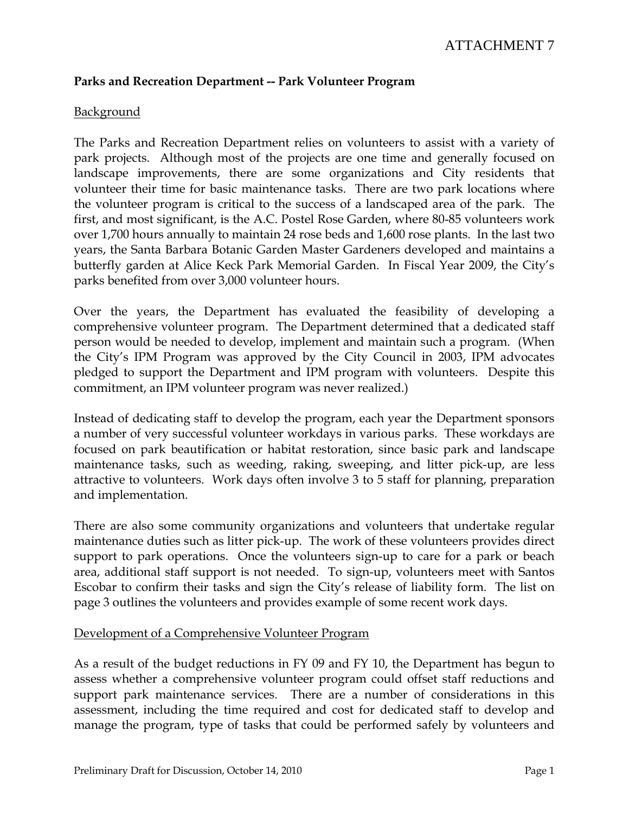# ATTACHMENT 7

# **Parks and Recreation Department -- Park Volunteer Program**

# **Background**

The Parks and Recreation Department relies on volunteers to assist with a variety of park projects. Although most of the projects are one time and generally focused on landscape improvements, there are some organizations and City residents that volunteer their time for basic maintenance tasks. There are two park locations where the volunteer program is critical to the success of a landscaped area of the park. The first, and most significant, is the A.C. Postel Rose Garden, where 80-85 volunteers work over 1,700 hours annually to maintain 24 rose beds and 1,600 rose plants. In the last two years, the Santa Barbara Botanic Garden Master Gardeners developed and maintains a butterfly garden at Alice Keck Park Memorial Garden. In Fiscal Year 2009, the City's parks benefited from over 3,000 volunteer hours.

Over the years, the Department has evaluated the feasibility of developing a comprehensive volunteer program. The Department determined that a dedicated staff person would be needed to develop, implement and maintain such a program. (When the City's IPM Program was approved by the City Council in 2003, IPM advocates pledged to support the Department and IPM program with volunteers. Despite this commitment, an IPM volunteer program was never realized.)

Instead of dedicating staff to develop the program, each year the Department sponsors a number of very successful volunteer workdays in various parks. These workdays are focused on park beautification or habitat restoration, since basic park and landscape maintenance tasks, such as weeding, raking, sweeping, and litter pick-up, are less attractive to volunteers. Work days often involve 3 to 5 staff for planning, preparation and implementation.

There are also some community organizations and volunteers that undertake regular maintenance duties such as litter pick-up. The work of these volunteers provides direct support to park operations. Once the volunteers sign-up to care for a park or beach area, additional staff support is not needed. To sign-up, volunteers meet with Santos Escobar to confirm their tasks and sign the City's release of liability form. The list on page 3 outlines the volunteers and provides example of some recent work days.

# Development of a Comprehensive Volunteer Program

As a result of the budget reductions in FY 09 and FY 10, the Department has begun to assess whether a comprehensive volunteer program could offset staff reductions and support park maintenance services. There are a number of considerations in this assessment, including the time required and cost for dedicated staff to develop and manage the program, type of tasks that could be performed safely by volunteers and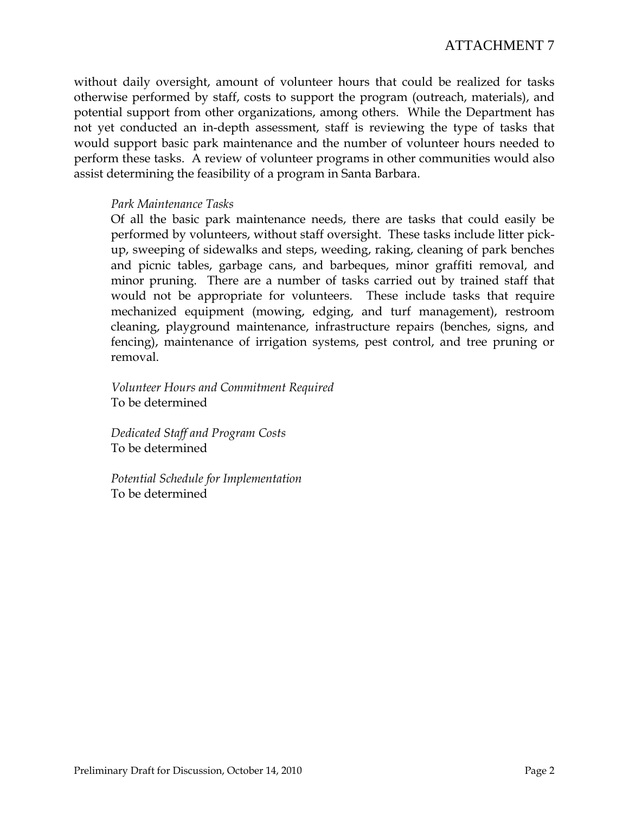without daily oversight, amount of volunteer hours that could be realized for tasks otherwise performed by staff, costs to support the program (outreach, materials), and potential support from other organizations, among others. While the Department has not yet conducted an in-depth assessment, staff is reviewing the type of tasks that would support basic park maintenance and the number of volunteer hours needed to perform these tasks. A review of volunteer programs in other communities would also assist determining the feasibility of a program in Santa Barbara.

# *Park Maintenance Tasks*

Of all the basic park maintenance needs, there are tasks that could easily be performed by volunteers, without staff oversight. These tasks include litter pickup, sweeping of sidewalks and steps, weeding, raking, cleaning of park benches and picnic tables, garbage cans, and barbeques, minor graffiti removal, and minor pruning. There are a number of tasks carried out by trained staff that would not be appropriate for volunteers. These include tasks that require mechanized equipment (mowing, edging, and turf management), restroom cleaning, playground maintenance, infrastructure repairs (benches, signs, and fencing), maintenance of irrigation systems, pest control, and tree pruning or removal.

*Volunteer Hours and Commitment Required*  To be determined

*Dedicated Staff and Program Costs*  To be determined

*Potential Schedule for Implementation*  To be determined